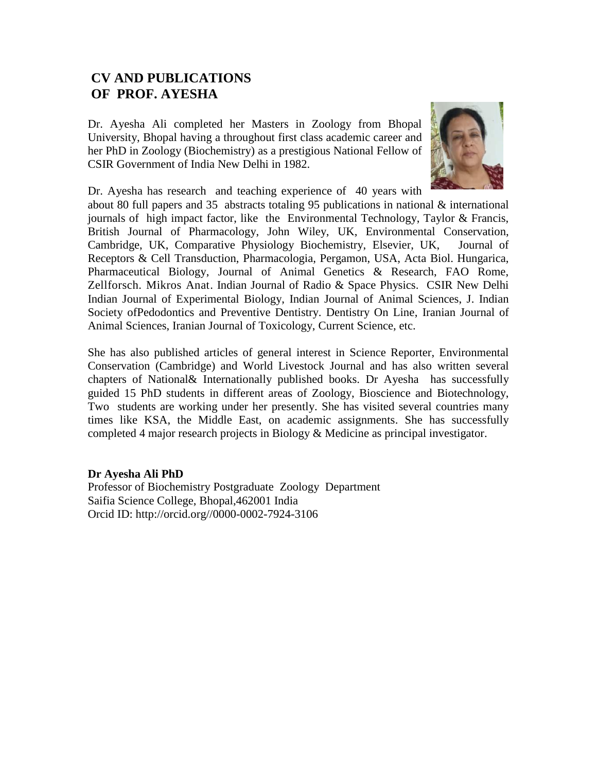## **CV AND PUBLICATIONS OF PROF. AYESHA**

Dr. Ayesha Ali completed her Masters in Zoology from Bhopal University, Bhopal having a throughout first class academic career and her PhD in Zoology (Biochemistry) as a prestigious National Fellow of CSIR Government of India New Delhi in 1982.



Dr. Ayesha has research and teaching experience of 40 years with

about 80 full papers and 35 abstracts totaling 95 publications in national & international journals of high impact factor, like the Environmental Technology, Taylor & Francis, British Journal of Pharmacology, John Wiley, UK, Environmental Conservation, Cambridge, UK, Comparative Physiology Biochemistry, Elsevier, UK, Journal of Receptors & Cell Transduction, Pharmacologia, Pergamon, USA, Acta Biol. Hungarica, Pharmaceutical Biology, Journal of Animal Genetics & Research, FAO Rome, Zellforsch. Mikros Anat. Indian Journal of Radio & Space Physics. CSIR New Delhi Indian Journal of Experimental Biology, Indian Journal of Animal Sciences, J. Indian Society ofPedodontics and Preventive Dentistry. Dentistry On Line, Iranian Journal of Animal Sciences, Iranian Journal of Toxicology, Current Science, etc.

She has also published articles of general interest in Science Reporter, Environmental Conservation (Cambridge) and World Livestock Journal and has also written several chapters of National& Internationally published books. Dr Ayesha has successfully guided 15 PhD students in different areas of Zoology, Bioscience and Biotechnology, Two students are working under her presently. She has visited several countries many times like KSA, the Middle East, on academic assignments. She has successfully completed 4 major research projects in Biology & Medicine as principal investigator.

## **Dr Ayesha Ali PhD**

Professor of Biochemistry Postgraduate Zoology Department Saifia Science College, Bhopal,462001 India Orcid ID: http://orcid.org//0000-0002-7924-3106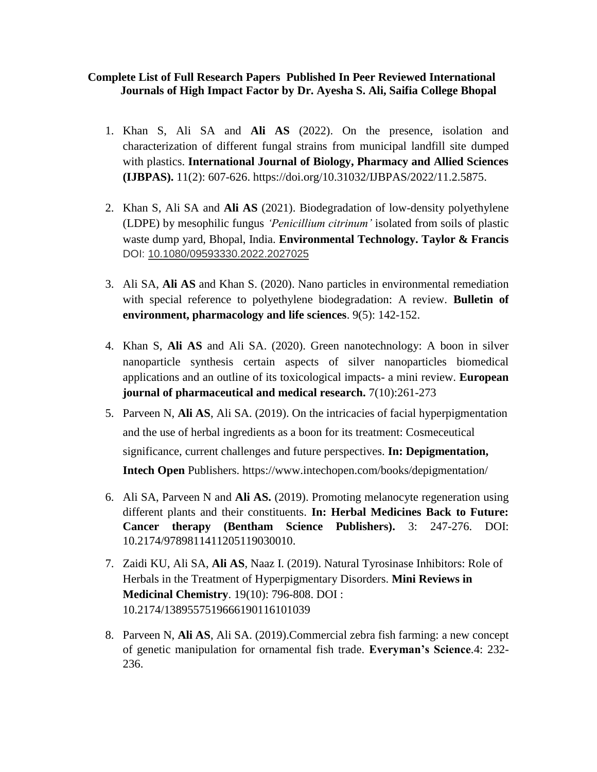## **Complete List of Full Research Papers Published In Peer Reviewed International Journals of High Impact Factor by Dr. Ayesha S. Ali, Saifia College Bhopal**

- 1. Khan S, Ali SA and **Ali AS** (2022). On the presence, isolation and characterization of different fungal strains from municipal landfill site dumped with plastics. **International Journal of Biology, Pharmacy and Allied Sciences (IJBPAS).** 11(2): 607-626. [https://doi.org/10.31032/IJBPAS/2022/11.2.5875.](https://doi.org/10.31032/IJBPAS/2022/11.2.5875)
- 2. Khan S, Ali SA and **Ali AS** (2021). Biodegradation of low-density polyethylene (LDPE) by mesophilic fungus *'Penicillium citrinum'* isolated from soils of plastic waste dump yard, Bhopal, India. **Environmental Technology. Taylor & Francis**  DOI: [10.1080/09593330.2022.2027025](https://doi.org/10.1080/09593330.2022.2027025)
- 3. Ali SA, **Ali AS** and Khan S. (2020). Nano particles in environmental remediation with special reference to polyethylene biodegradation: A review. **Bulletin of environment, pharmacology and life sciences**. 9(5): 142-152.
- 4. Khan S, **Ali AS** and Ali SA. (2020). Green nanotechnology: A boon in silver nanoparticle synthesis certain aspects of silver nanoparticles biomedical applications and an outline of its toxicological impacts- a mini review. **European journal of pharmaceutical and medical research.** 7(10):261-273
- 5. Parveen N, **Ali AS**, Ali SA. (2019). On the intricacies of facial hyperpigmentation and the use of herbal ingredients as a boon for its treatment: Cosmeceutical significance, current challenges and future perspectives. **In: Depigmentation, Intech Open** Publishers. https://www.intechopen.com/books/depigmentation/
- 6. Ali SA, Parveen N and **Ali AS.** (2019). Promoting melanocyte regeneration using different plants and their constituents. **In: Herbal Medicines Back to Future: Cancer therapy (Bentham Science Publishers).** 3: 247-276. DOI: 10.2174/9789811411205119030010.
- 7. Zaidi KU, Ali SA, **Ali AS**, Naaz I. (2019). Natural Tyrosinase Inhibitors: Role of Herbals in the Treatment of Hyperpigmentary Disorders. **Mini Reviews in Medicinal Chemistry**. 19(10): 796-808. DOI : 10.2174/1389557519666190116101039
- 8. Parveen N, **Ali AS**, Ali SA. (2019).Commercial zebra fish farming: a new concept of genetic manipulation for ornamental fish trade. **Everyman's Science**.4: 232- 236.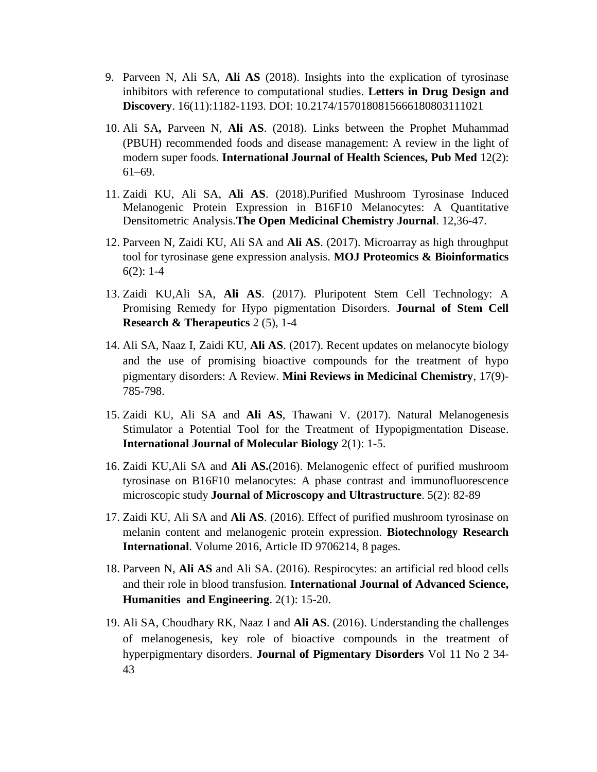- 9. Parveen N, Ali SA, **Ali AS** (2018). Insights into the explication of tyrosinase inhibitors with reference to computational studies. **Letters in Drug Design and Discovery**. 16(11):1182-1193. DOI: 10.2174/1570180815666180803111021
- 10. Ali SA**,** Parveen N, **Ali AS**. (2018). Links between the Prophet Muhammad (PBUH) recommended foods and disease management: A review in the light of modern super foods. **International Journal of Health Sciences, Pub Med** 12(2): 61–69.
- 11. Zaidi KU, Ali SA, **Ali AS**. (2018).Purified Mushroom Tyrosinase Induced Melanogenic Protein Expression in B16F10 Melanocytes: A Quantitative Densitometric Analysis.**The Open Medicinal Chemistry Journal**. 12,36-47.
- 12. Parveen N, Zaidi KU, Ali SA and **Ali AS**. (2017). Microarray as high throughput tool for tyrosinase gene expression analysis. **MOJ Proteomics & Bioinformatics**  $6(2): 1-4$
- 13. Zaidi KU,Ali SA, **Ali AS**. (2017). Pluripotent Stem Cell Technology: A Promising Remedy for Hypo pigmentation Disorders. **Journal of Stem Cell Research & Therapeutics** 2 (5), 1-4
- 14. Ali SA, Naaz I, Zaidi KU, **Ali AS**. (2017). Recent updates on melanocyte biology and the use of promising bioactive compounds for the treatment of hypo pigmentary disorders: A Review. **Mini Reviews in Medicinal Chemistry**, 17(9)- 785-798.
- 15. Zaidi KU, Ali SA and **Ali AS**, Thawani V. (2017). Natural Melanogenesis Stimulator a Potential Tool for the Treatment of Hypopigmentation Disease. **International Journal of Molecular Biology** 2(1): 1-5.
- 16. Zaidi KU,Ali SA and **Ali AS.**(2016). Melanogenic effect of purified mushroom tyrosinase on B16F10 melanocytes: A phase contrast and immunofluorescence microscopic study **Journal of Microscopy and Ultrastructure**. 5(2): 82-89
- 17. Zaidi KU, Ali SA and **Ali AS**. (2016). Effect of purified mushroom tyrosinase on melanin content and melanogenic protein expression. **Biotechnology Research International**. Volume 2016, Article ID 9706214, 8 pages.
- 18. Parveen N, **Ali AS** and Ali SA. (2016). Respirocytes: an artificial red blood cells and their role in blood transfusion. **International Journal of Advanced Science, Humanities and Engineering**. 2(1): 15-20.
- 19. Ali SA, Choudhary RK, Naaz I and **Ali AS**. (2016). Understanding the challenges of melanogenesis, key role of bioactive compounds in the treatment of hyperpigmentary disorders. **Journal of Pigmentary Disorders** Vol 11 No 2 34- 43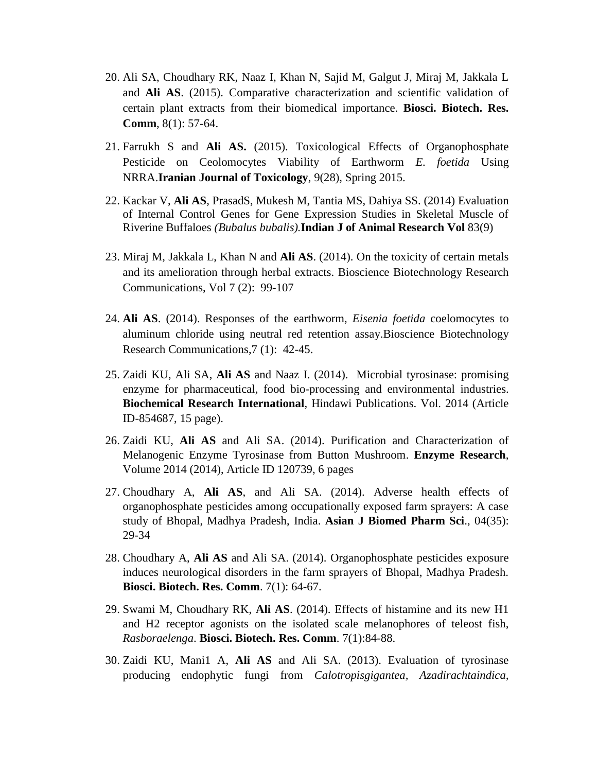- 20. Ali SA, Choudhary RK, Naaz I, Khan N, Sajid M, Galgut J, Miraj M, Jakkala L and **Ali AS**. (2015). Comparative characterization and scientific validation of certain plant extracts from their biomedical importance. **Biosci. Biotech. Res. Comm**, 8(1): 57-64.
- 21. Farrukh S and **Ali AS.** (2015). Toxicological Effects of Organophosphate Pesticide on Ceolomocytes Viability of Earthworm *E. foetida* Using NRRA.**Iranian Journal of Toxicology**, 9(28), Spring 2015.
- 22. Kackar V, **Ali AS**, PrasadS, Mukesh M, Tantia MS, Dahiya SS. (2014) Evaluation of Internal Control Genes for Gene Expression Studies in Skeletal Muscle of Riverine Buffaloes *(Bubalus bubalis).***Indian J of Animal Research Vol** 83(9)
- 23. Miraj M, Jakkala L, Khan N and **Ali AS**. (2014). On the toxicity of certain metals and its amelioration through herbal extracts. Bioscience Biotechnology Research Communications, Vol 7 (2): 99-107
- 24. **Ali AS**. (2014). Responses of the earthworm, *Eisenia foetida* coelomocytes to aluminum chloride using neutral red retention assay.Bioscience Biotechnology Research Communications,7 (1): 42-45.
- 25. Zaidi KU, Ali SA, **Ali AS** and Naaz I. (2014). Microbial tyrosinase: promising enzyme for pharmaceutical, food bio-processing and environmental industries. **Biochemical Research International**, Hindawi Publications. Vol. 2014 (Article ID-854687, 15 page).
- 26. Zaidi KU, **Ali AS** and Ali SA. (2014). Purification and Characterization of Melanogenic Enzyme Tyrosinase from Button Mushroom. **Enzyme Research**, Volume 2014 (2014), Article ID 120739, 6 pages
- 27. Choudhary A, **Ali AS**, and Ali SA. (2014). Adverse health effects of organophosphate pesticides among occupationally exposed farm sprayers: A case study of Bhopal, Madhya Pradesh, India. **Asian J Biomed Pharm Sci**., 04(35): 29-34
- 28. Choudhary A, **Ali AS** and Ali SA. (2014). Organophosphate pesticides exposure induces neurological disorders in the farm sprayers of Bhopal, Madhya Pradesh. **Biosci. Biotech. Res. Comm**. 7(1): 64-67.
- 29. Swami M, Choudhary RK, **Ali AS**. (2014). Effects of histamine and its new H1 and H2 receptor agonists on the isolated scale melanophores of teleost fish, *Rasboraelenga*. **Biosci. Biotech. Res. Comm**. 7(1):84-88.
- 30. Zaidi KU, Mani1 A, **Ali AS** and Ali SA. (2013). Evaluation of tyrosinase producing endophytic fungi from *Calotropisgigantea, Azadirachtaindica,*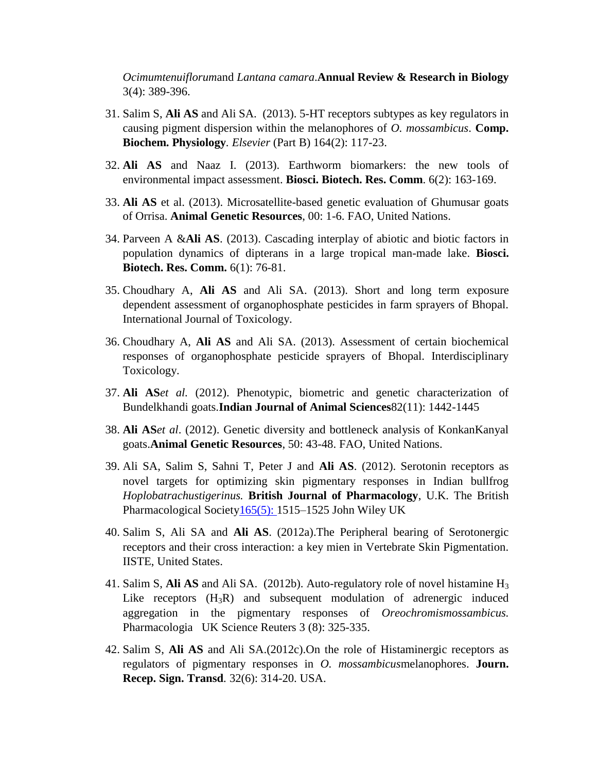*Ocimumtenuiflorum*and *Lantana camara*.**Annual Review & Research in Biology** 3(4): 389-396.

- 31. Salim S, **Ali AS** and Ali SA. (2013). 5-HT receptors subtypes as key regulators in causing pigment dispersion within the melanophores of *O. mossambicus*. **Comp. Biochem. Physiology***. Elsevier* (Part B) 164(2): 117-23.
- 32. **Ali AS** and Naaz I. (2013). Earthworm biomarkers: the new tools of environmental impact assessment. **Biosci. Biotech. Res. Comm**. 6(2): 163-169.
- 33. **Ali AS** et al. (2013). Microsatellite-based genetic evaluation of Ghumusar goats of Orrisa. **Animal Genetic Resources**, 00: 1-6. FAO, United Nations.
- 34. Parveen A &**Ali AS**. (2013). Cascading interplay of abiotic and biotic factors in population dynamics of dipterans in a large tropical man-made lake. **Biosci. Biotech. Res. Comm.** 6(1): 76-81.
- 35. Choudhary A, **Ali AS** and Ali SA. (2013). Short and long term exposure dependent assessment of organophosphate pesticides in farm sprayers of Bhopal. International Journal of Toxicology.
- 36. Choudhary A, **Ali AS** and Ali SA. (2013). Assessment of certain biochemical responses of organophosphate pesticide sprayers of Bhopal. Interdisciplinary Toxicology.
- 37. **Ali AS***et al.* (2012). Phenotypic, biometric and genetic characterization of Bundelkhandi goats.**Indian Journal of Animal Sciences**82(11): 1442-1445
- 38. **Ali AS***et al*. (2012). Genetic diversity and bottleneck analysis of KonkanKanyal goats.**Animal Genetic Resources**, 50: 43-48. FAO, United Nations.
- 39. Ali SA, Salim S, Sahni T, Peter J and **Ali AS**. (2012). Serotonin receptors as novel targets for optimizing skin pigmentary responses in Indian bullfrog *Hoplobatrachustigerinus.* **British Journal of Pharmacology**, U.K. The British Pharmacological Societ[y165\(5\):](http://onlinelibrary.wiley.com/doi/10.1111/bph.2012.165.issue-5/issuetoc) 1515–1525 John Wiley UK
- 40. Salim S, Ali SA and **Ali AS**. (2012a).The Peripheral bearing of Serotonergic receptors and their cross interaction: a key mien in Vertebrate Skin Pigmentation. IISTE, United States.
- 41. Salim S, **Ali AS** and Ali SA. (2012b). Auto-regulatory role of novel histamine H<sup>3</sup> Like receptors  $(H_3R)$  and subsequent modulation of adrenergic induced aggregation in the pigmentary responses of *Oreochromismossambicus.*  Pharmacologia UK Science Reuters 3 (8): 325-335.
- 42. Salim S, **Ali AS** and Ali SA.(2012c).On the role of Histaminergic receptors as regulators of pigmentary responses in *O. mossambicus*melanophores. **Journ. Recep. Sign. Transd***.* 32(6): 314-20. USA.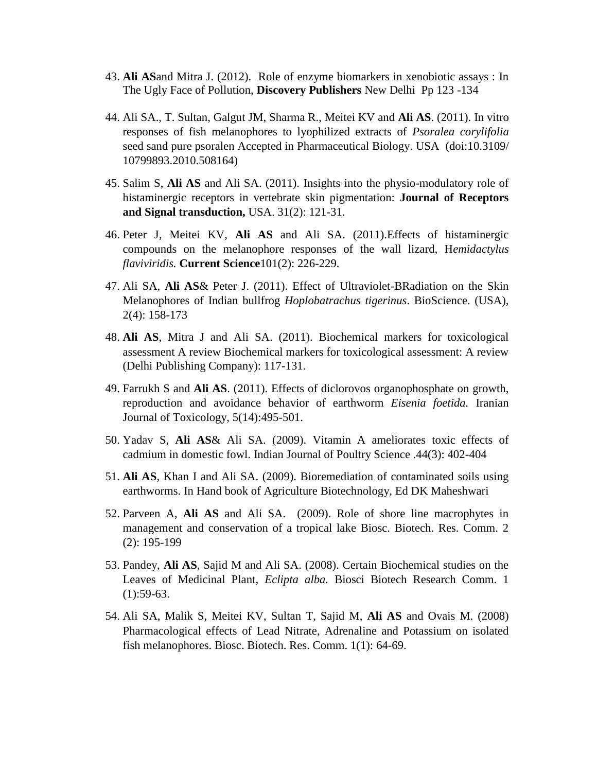- 43. **Ali AS**and Mitra J. (2012). Role of enzyme biomarkers in xenobiotic assays : In The Ugly Face of Pollution, **Discovery Publishers** New Delhi Pp 123 -134
- 44. Ali SA., T. Sultan, Galgut JM, Sharma R., Meitei KV and **Ali AS**. (2011). In vitro responses of fish melanophores to lyophilized extracts of *Psoralea corylifolia* seed sand pure psoralen Accepted in Pharmaceutical Biology. USA (doi:10.3109/ 10799893.2010.508164)
- 45. Salim S, **Ali AS** and Ali SA. (2011). Insights into the physio-modulatory role of histaminergic receptors in vertebrate skin pigmentation: **Journal of Receptors and Signal transduction,** USA. 31(2): 121-31.
- 46. Peter J, Meitei KV, **Ali AS** and Ali SA. (2011).Effects of histaminergic compounds on the melanophore responses of the wall lizard, H*emidactylus flaviviridis.* **Current Science**101(2): 226-229.
- 47. Ali SA, **Ali AS**& Peter J. (2011). Effect of Ultraviolet-BRadiation on the Skin Melanophores of Indian bullfrog *Hoplobatrachus tigerinus*. BioScience. (USA), 2(4): 158-173
- 48. **Ali AS**, Mitra J and Ali SA. (2011). Biochemical markers for toxicological assessment A review Biochemical markers for toxicological assessment: A review (Delhi Publishing Company): 117-131.
- 49. Farrukh S and **Ali AS**. (2011). Effects of diclorovos organophosphate on growth, reproduction and avoidance behavior of earthworm *Eisenia foetida.* Iranian Journal of Toxicology, 5(14):495-501.
- 50. Yadav S, **Ali AS**& Ali SA. (2009). Vitamin A ameliorates toxic effects of cadmium in domestic fowl. Indian Journal of Poultry Science .44(3): 402-404
- 51. **Ali AS**, Khan I and Ali SA. (2009). Bioremediation of contaminated soils using earthworms. In Hand book of Agriculture Biotechnology, Ed DK Maheshwari
- 52. Parveen A, **Ali AS** and Ali SA. (2009). Role of shore line macrophytes in management and conservation of a tropical lake Biosc. Biotech. Res. Comm. 2 (2): 195-199
- 53. Pandey, **Ali AS**, Sajid M and Ali SA. (2008). Certain Biochemical studies on the Leaves of Medicinal Plant, *Eclipta alba.* Biosci Biotech Research Comm. 1  $(1):$ 59-63.
- 54. Ali SA, Malik S, Meitei KV, Sultan T, Sajid M, **Ali AS** and Ovais M. (2008) Pharmacological effects of Lead Nitrate, Adrenaline and Potassium on isolated fish melanophores. Biosc. Biotech. Res. Comm. 1(1): 64-69.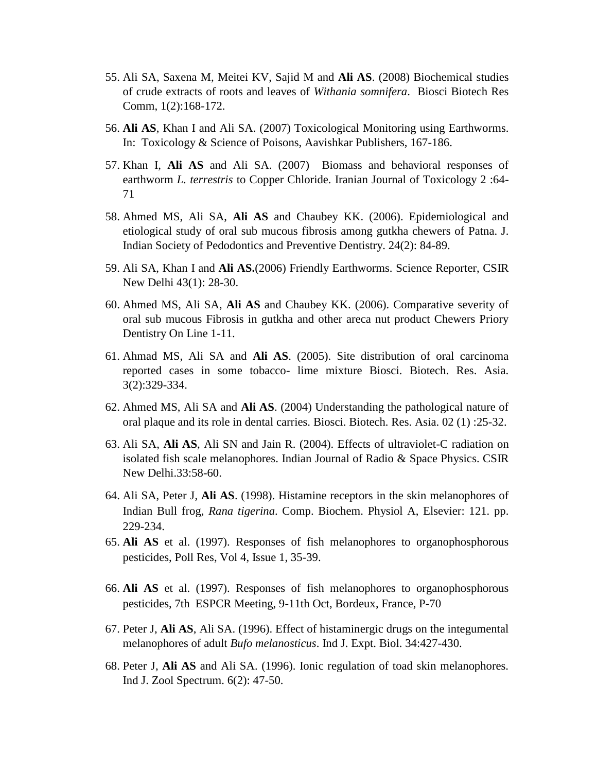- 55. Ali SA, Saxena M, Meitei KV, Sajid M and **Ali AS**. (2008) Biochemical studies of crude extracts of roots and leaves of *Withania somnifera*. Biosci Biotech Res Comm, 1(2):168-172.
- 56. **Ali AS**, Khan I and Ali SA. (2007) Toxicological Monitoring using Earthworms. In: Toxicology & Science of Poisons, Aavishkar Publishers, 167-186.
- 57. Khan I, **Ali AS** and Ali SA. (2007) Biomass and behavioral responses of earthworm *L. terrestris* to Copper Chloride. Iranian Journal of Toxicology 2 :64- 71
- 58. Ahmed MS, Ali SA, **Ali AS** and Chaubey KK. (2006). Epidemiological and etiological study of oral sub mucous fibrosis among gutkha chewers of Patna. J. Indian Society of Pedodontics and Preventive Dentistry. 24(2): 84-89.
- 59. Ali SA, Khan I and **Ali AS.**(2006) Friendly Earthworms. Science Reporter, CSIR New Delhi 43(1): 28-30.
- 60. Ahmed MS, Ali SA, **Ali AS** and Chaubey KK. (2006). Comparative severity of oral sub mucous Fibrosis in gutkha and other areca nut product Chewers Priory Dentistry On Line 1-11.
- 61. Ahmad MS, Ali SA and **Ali AS**. (2005). Site distribution of oral carcinoma reported cases in some tobacco- lime mixture Biosci. Biotech. Res. Asia. 3(2):329-334.
- 62. Ahmed MS, Ali SA and **Ali AS**. (2004) Understanding the pathological nature of oral plaque and its role in dental carries. Biosci. Biotech. Res. Asia. 02 (1) :25-32.
- 63. Ali SA, **Ali AS**, Ali SN and Jain R. (2004). Effects of ultraviolet-C radiation on isolated fish scale melanophores. Indian Journal of Radio & Space Physics. CSIR New Delhi.33:58-60.
- 64. Ali SA, Peter J, **Ali AS**. (1998). Histamine receptors in the skin melanophores of Indian Bull frog, *Rana tigerina*. Comp. Biochem. Physiol A, Elsevier: 121. pp. 229-234.
- 65. **Ali AS** et al. (1997). Responses of fish melanophores to organophosphorous pesticides, Poll Res, Vol 4, Issue 1, 35-39.
- 66. **Ali AS** et al. (1997). Responses of fish melanophores to organophosphorous pesticides, 7th ESPCR Meeting, 9-11th Oct, Bordeux, France, P-70
- 67. Peter J, **Ali AS**, Ali SA. (1996). Effect of histaminergic drugs on the integumental melanophores of adult *Bufo melanosticus*. Ind J. Expt. Biol. 34:427-430.
- 68. Peter J, **Ali AS** and Ali SA. (1996). Ionic regulation of toad skin melanophores. Ind J. Zool Spectrum. 6(2): 47-50.